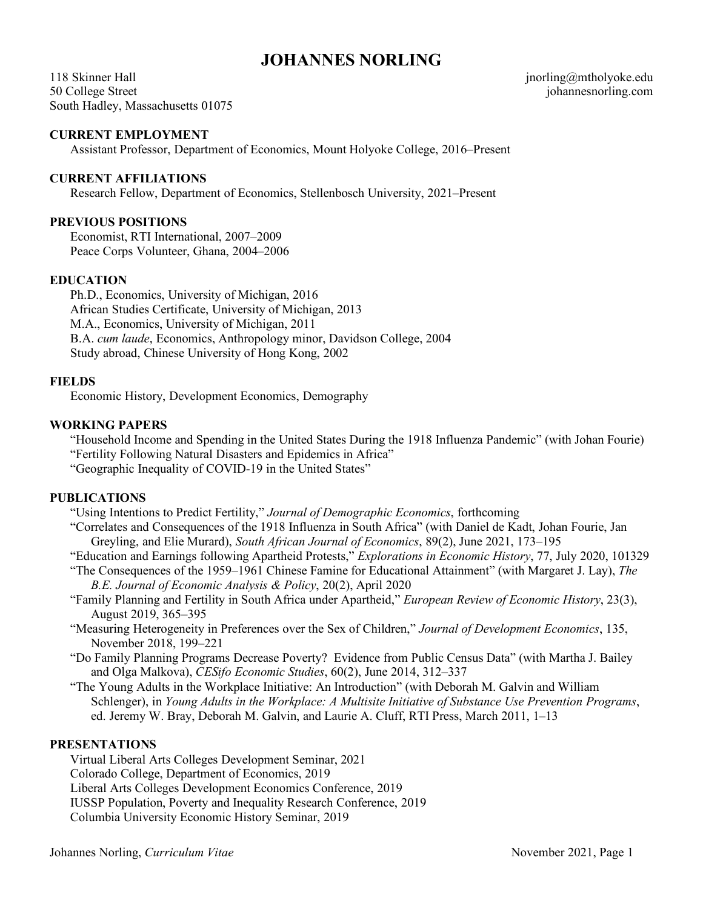# **JOHANNES NORLING**

118 Skinner Hall 50 College Street South Hadley, Massachusetts 01075 jnorling@mtholyoke.edu johannesnorling.com

### **CURRENT EMPLOYMENT**

Assistant Professor, Department of Economics, Mount Holyoke College, 2016–Present

### **CURRENT AFFILIATIONS**

Research Fellow, Department of Economics, Stellenbosch University, 2021–Present

# **PREVIOUS POSITIONS**

Economist, RTI International, 2007–2009 Peace Corps Volunteer, Ghana, 2004–2006

### **EDUCATION**

Ph.D., Economics, University of Michigan, 2016 African Studies Certificate, University of Michigan, 2013 M.A., Economics, University of Michigan, 2011 B.A. *cum laude*, Economics, Anthropology minor, Davidson College, 2004 Study abroad, Chinese University of Hong Kong, 2002

### **FIELDS**

Economic History, Development Economics, Demography

### **WORKING PAPERS**

"Household Income and Spending in the United States During the 1918 Influenza Pandemic" (with Johan Fourie) "Fertility Following Natural Disasters and Epidemics in Africa"

"Geographic Inequality of COVID-19 in the United States"

#### **PUBLICATIONS**

"Using Intentions to Predict Fertility," *Journal of Demographic Economics*, forthcoming

- "Correlates and Consequences of the 1918 Influenza in South Africa" (with Daniel de Kadt, Johan Fourie, Jan Greyling, and Elie Murard), *South African Journal of Economics*, 89(2), June 2021, 173–195
- "Education and Earnings following Apartheid Protests," *Explorations in Economic History*, 77, July 2020, 101329
- "The Consequences of the 1959–1961 Chinese Famine for Educational Attainment" (with Margaret J. Lay), *The B.E. Journal of Economic Analysis & Policy*, 20(2), April 2020
- "Family Planning and Fertility in South Africa under Apartheid," *European Review of Economic History*, 23(3), August 2019, 365–395
- "Measuring Heterogeneity in Preferences over the Sex of Children," *Journal of Development Economics*, 135, November 2018, 199–221
- "Do Family Planning Programs Decrease Poverty? Evidence from Public Census Data" (with Martha J. Bailey and Olga Malkova), *CESifo Economic Studies*, 60(2), June 2014, 312–337
- "The Young Adults in the Workplace Initiative: An Introduction" (with Deborah M. Galvin and William Schlenger), in *Young Adults in the Workplace: A Multisite Initiative of Substance Use Prevention Programs*, ed. Jeremy W. Bray, Deborah M. Galvin, and Laurie A. Cluff, RTI Press, March 2011, 1–13

# **PRESENTATIONS**

Virtual Liberal Arts Colleges Development Seminar, 2021 Colorado College, Department of Economics, 2019 Liberal Arts Colleges Development Economics Conference, 2019 IUSSP Population, Poverty and Inequality Research Conference, 2019 Columbia University Economic History Seminar, 2019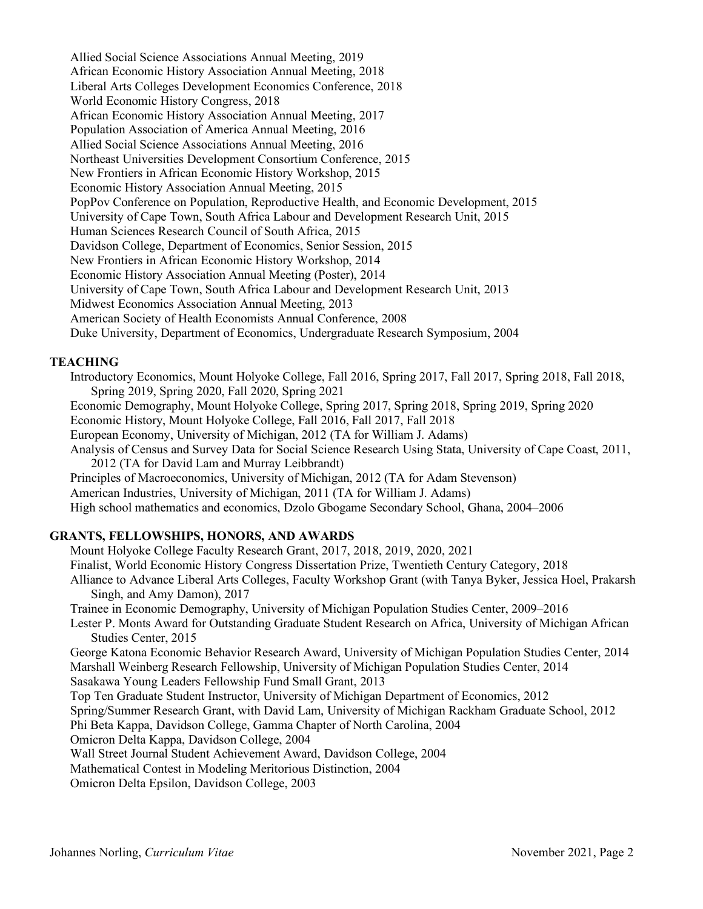Allied Social Science Associations Annual Meeting, 2019 African Economic History Association Annual Meeting, 2018 Liberal Arts Colleges Development Economics Conference, 2018 World Economic History Congress, 2018 African Economic History Association Annual Meeting, 2017 Population Association of America Annual Meeting, 2016 Allied Social Science Associations Annual Meeting, 2016 Northeast Universities Development Consortium Conference, 2015 New Frontiers in African Economic History Workshop, 2015 Economic History Association Annual Meeting, 2015 PopPov Conference on Population, Reproductive Health, and Economic Development, 2015 University of Cape Town, South Africa Labour and Development Research Unit, 2015 Human Sciences Research Council of South Africa, 2015 Davidson College, Department of Economics, Senior Session, 2015 New Frontiers in African Economic History Workshop, 2014 Economic History Association Annual Meeting (Poster), 2014 University of Cape Town, South Africa Labour and Development Research Unit, 2013 Midwest Economics Association Annual Meeting, 2013 American Society of Health Economists Annual Conference, 2008 Duke University, Department of Economics, Undergraduate Research Symposium, 2004

# **TEACHING**

Introductory Economics, Mount Holyoke College, Fall 2016, Spring 2017, Fall 2017, Spring 2018, Fall 2018, Spring 2019, Spring 2020, Fall 2020, Spring 2021 Economic Demography, Mount Holyoke College, Spring 2017, Spring 2018, Spring 2019, Spring 2020 Economic History, Mount Holyoke College, Fall 2016, Fall 2017, Fall 2018 European Economy, University of Michigan, 2012 (TA for William J. Adams) Analysis of Census and Survey Data for Social Science Research Using Stata, University of Cape Coast, 2011, 2012 (TA for David Lam and Murray Leibbrandt) Principles of Macroeconomics, University of Michigan, 2012 (TA for Adam Stevenson) American Industries, University of Michigan, 2011 (TA for William J. Adams) High school mathematics and economics, Dzolo Gbogame Secondary School, Ghana, 2004–2006 **GRANTS, FELLOWSHIPS, HONORS, AND AWARDS**

### Mount Holyoke College Faculty Research Grant, 2017, 2018, 2019, 2020, 2021 Finalist, World Economic History Congress Dissertation Prize, Twentieth Century Category, 2018 Alliance to Advance Liberal Arts Colleges, Faculty Workshop Grant (with Tanya Byker, Jessica Hoel, Prakarsh Singh, and Amy Damon), 2017 Trainee in Economic Demography, University of Michigan Population Studies Center, 2009–2016 Lester P. Monts Award for Outstanding Graduate Student Research on Africa, University of Michigan African Studies Center, 2015 George Katona Economic Behavior Research Award, University of Michigan Population Studies Center, 2014 Marshall Weinberg Research Fellowship, University of Michigan Population Studies Center, 2014 Sasakawa Young Leaders Fellowship Fund Small Grant, 2013 Top Ten Graduate Student Instructor, University of Michigan Department of Economics, 2012 Spring/Summer Research Grant, with David Lam, University of Michigan Rackham Graduate School, 2012 Phi Beta Kappa, Davidson College, Gamma Chapter of North Carolina, 2004 Omicron Delta Kappa, Davidson College, 2004 Wall Street Journal Student Achievement Award, Davidson College, 2004

Mathematical Contest in Modeling Meritorious Distinction, 2004

Omicron Delta Epsilon, Davidson College, 2003